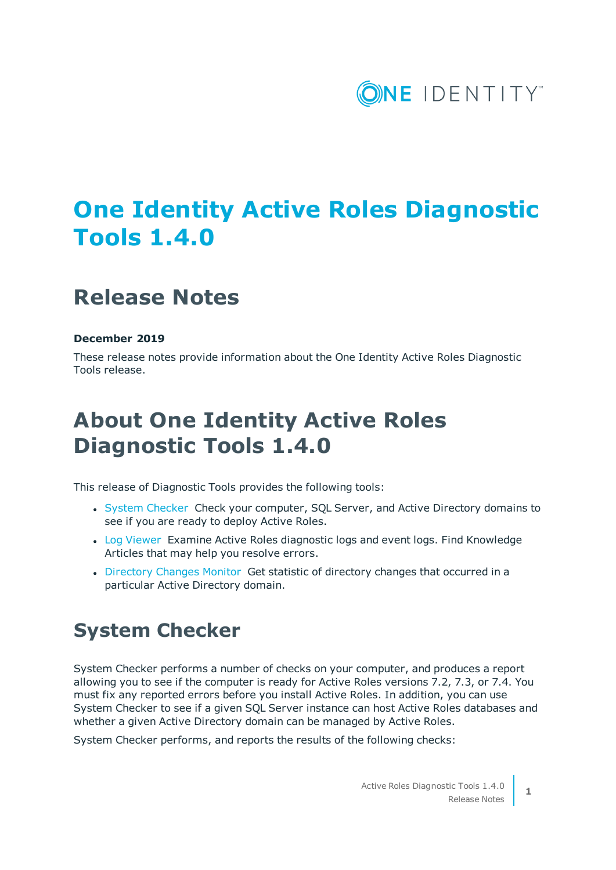

# **One Identity Active Roles Diagnostic Tools 1.4.0**

## **Release Notes**

#### **December 2019**

These release notes provide information about the One Identity Active Roles Diagnostic Tools release.

# **About One Identity Active Roles Diagnostic Tools 1.4.0**

This release of Diagnostic Tools provides the following tools:

- System [Checker](#page-0-0) Check your computer, SQL Server, and Active Directory domains to see if you are ready to deploy Active Roles.
- Log [Viewer](#page-2-0) Examine Active Roles diagnostic logs and event logs. Find Knowledge Articles that may help you resolve errors.
- [Directory](#page-2-1) Changes Monitor Get statistic of directory changes that occurred in a particular Active Directory domain.

#### <span id="page-0-0"></span>**System Checker**

System Checker performs a number of checks on your computer, and produces a report allowing you to see if the computer is ready for Active Roles versions 7.2, 7.3, or 7.4. You must fix any reported errors before you install Active Roles. In addition, you can use System Checker to see if a given SQL Server instance can host Active Roles databases and whether a given Active Directory domain can be managed by Active Roles.

System Checker performs, and reports the results of the following checks:

**1**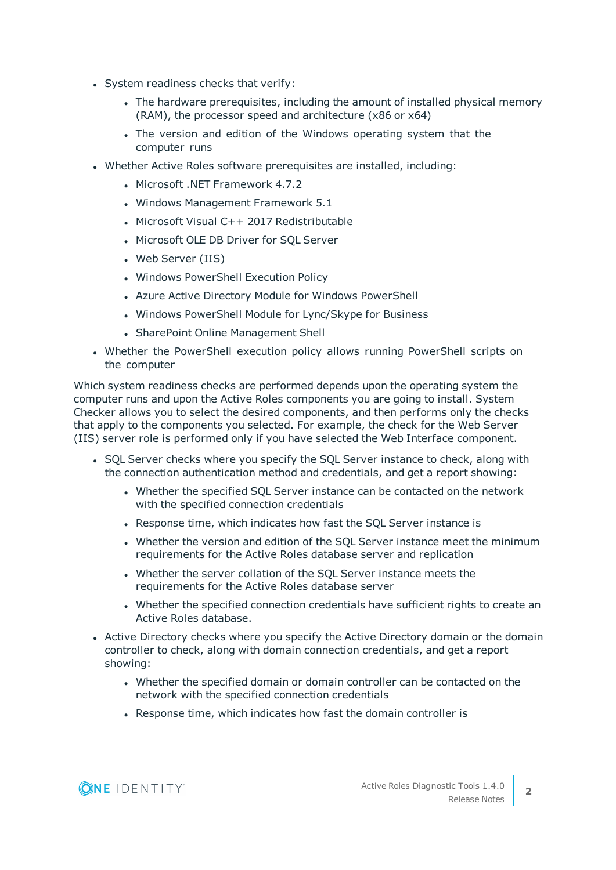- System readiness checks that verify:
	- The hardware prerequisites, including the amount of installed physical memory (RAM), the processor speed and architecture (x86 or x64)
	- The version and edition of the Windows operating system that the computer runs
- Whether Active Roles software prerequisites are installed, including:
	- Microsoft .NET Framework 4.7.2
	- Windows Management Framework 5.1
	- Microsoft Visual C++ 2017 Redistributable
	- Microsoft OLE DB Driver for SQL Server
	- Web Server (IIS)
	- Windows PowerShell Execution Policy
	- Azure Active Directory Module for Windows PowerShell
	- Windows PowerShell Module for Lync/Skype for Business
	- SharePoint Online Management Shell
- Whether the PowerShell execution policy allows running PowerShell scripts on the computer

Which system readiness checks are performed depends upon the operating system the computer runs and upon the Active Roles components you are going to install. System Checker allows you to select the desired components, and then performs only the checks that apply to the components you selected. For example, the check for the Web Server (IIS) server role is performed only if you have selected the Web Interface component.

- SQL Server checks where you specify the SQL Server instance to check, along with the connection authentication method and credentials, and get a report showing:
	- Whether the specified SQL Server instance can be contacted on the network with the specified connection credentials
	- Response time, which indicates how fast the SQL Server instance is
	- Whether the version and edition of the SQL Server instance meet the minimum requirements for the Active Roles database server and replication
	- Whether the server collation of the SQL Server instance meets the requirements for the Active Roles database server
	- Whether the specified connection credentials have sufficient rights to create an Active Roles database.
- Active Directory checks where you specify the Active Directory domain or the domain controller to check, along with domain connection credentials, and get a report showing:
	- Whether the specified domain or domain controller can be contacted on the network with the specified connection credentials
	- Response time, which indicates how fast the domain controller is

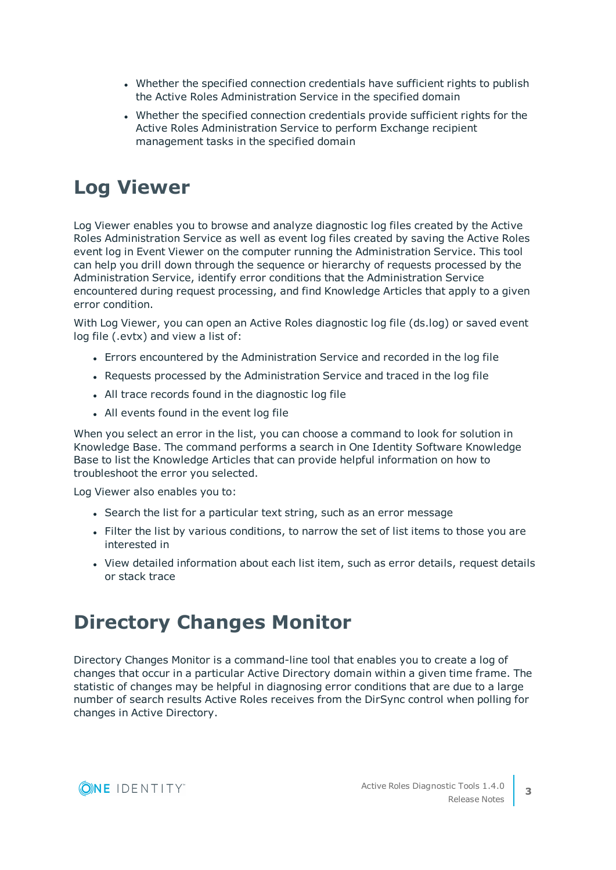- Whether the specified connection credentials have sufficient rights to publish the Active Roles Administration Service in the specified domain
- Whether the specified connection credentials provide sufficient rights for the Active Roles Administration Service to perform Exchange recipient management tasks in the specified domain

## <span id="page-2-0"></span>**Log Viewer**

Log Viewer enables you to browse and analyze diagnostic log files created by the Active Roles Administration Service as well as event log files created by saving the Active Roles event log in Event Viewer on the computer running the Administration Service. This tool can help you drill down through the sequence or hierarchy of requests processed by the Administration Service, identify error conditions that the Administration Service encountered during request processing, and find Knowledge Articles that apply to a given error condition.

With Log Viewer, you can open an Active Roles diagnostic log file (ds.log) or saved event log file (.evtx) and view a list of:

- Errors encountered by the Administration Service and recorded in the log file
- Requests processed by the Administration Service and traced in the log file
- All trace records found in the diagnostic log file
- All events found in the event log file

When you select an error in the list, you can choose a command to look for solution in Knowledge Base. The command performs a search in One Identity Software Knowledge Base to list the Knowledge Articles that can provide helpful information on how to troubleshoot the error you selected.

Log Viewer also enables you to:

- Search the list for a particular text string, such as an error message
- Filter the list by various conditions, to narrow the set of list items to those you are interested in
- View detailed information about each list item, such as error details, request details or stack trace

### <span id="page-2-1"></span>**Directory Changes Monitor**

Directory Changes Monitor is a command-line tool that enables you to create a log of changes that occur in a particular Active Directory domain within a given time frame. The statistic of changes may be helpful in diagnosing error conditions that are due to a large number of search results Active Roles receives from the DirSync control when polling for changes in Active Directory.

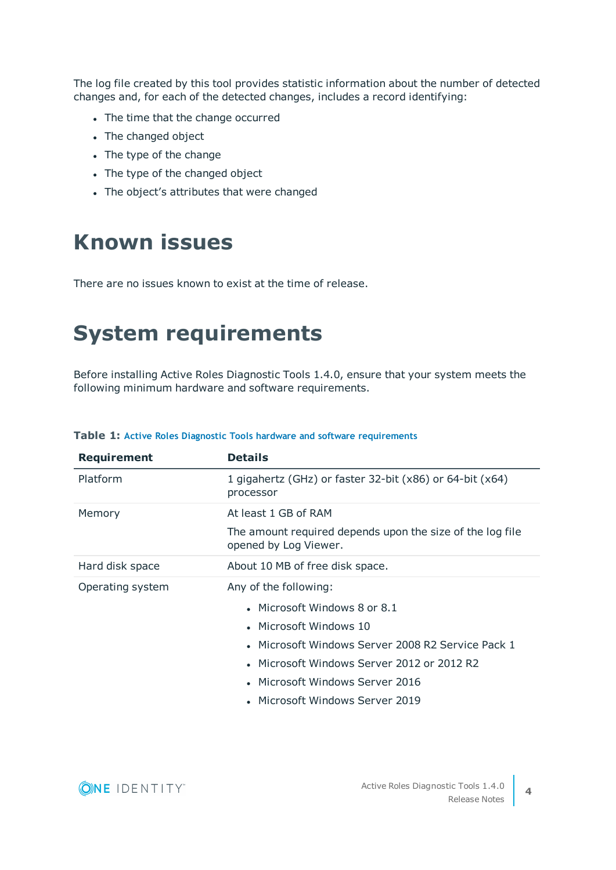The log file created by this tool provides statistic information about the number of detected changes and, for each of the detected changes, includes a record identifying:

- The time that the change occurred
- The changed object
- The type of the change
- The type of the changed object
- The object's attributes that were changed

# **Known issues**

There are no issues known to exist at the time of release.

# **System requirements**

Before installing Active Roles Diagnostic Tools 1.4.0, ensure that your system meets the following minimum hardware and software requirements.

| <b>Requirement</b> | <b>Details</b>                                                                     |
|--------------------|------------------------------------------------------------------------------------|
| Platform           | 1 gigahertz (GHz) or faster 32-bit $(x86)$ or 64-bit $(x64)$<br>processor          |
| Memory             | At least 1 GB of RAM                                                               |
|                    | The amount required depends upon the size of the log file<br>opened by Log Viewer. |
| Hard disk space    | About 10 MB of free disk space.                                                    |
| Operating system   | Any of the following:                                                              |
|                    | • Microsoft Windows 8 or 8.1                                                       |
|                    | • Microsoft Windows 10                                                             |
|                    | • Microsoft Windows Server 2008 R2 Service Pack 1                                  |
|                    | • Microsoft Windows Server 2012 or 2012 R2                                         |
|                    | • Microsoft Windows Server 2016                                                    |
|                    | Microsoft Windows Server 2019                                                      |

#### **Table 1: Active Roles Diagnostic Tools hardware and software requirements**

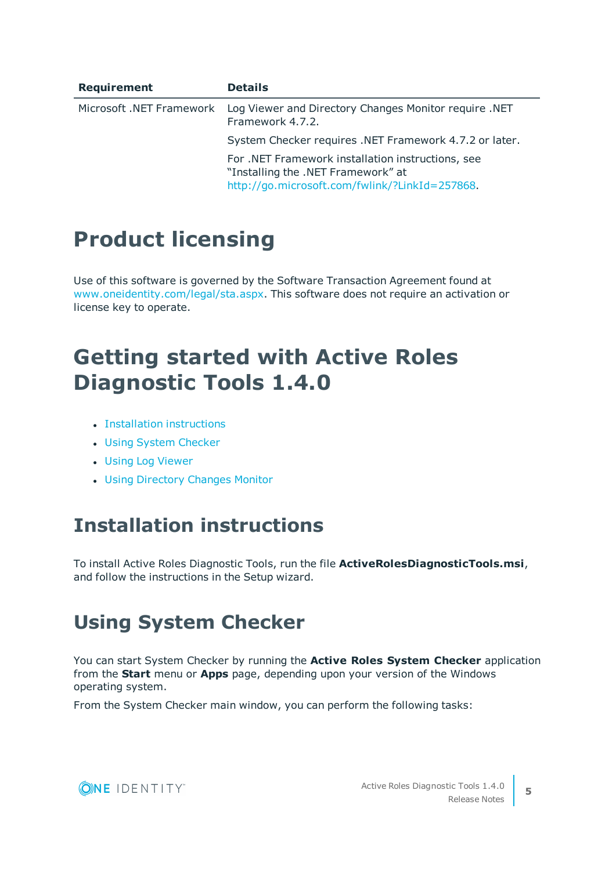| Requirement              | <b>Details</b>                                                                                                                            |
|--------------------------|-------------------------------------------------------------------------------------------------------------------------------------------|
| Microsoft .NET Framework | Log Viewer and Directory Changes Monitor require .NET<br>Framework 4.7.2.                                                                 |
|                          | System Checker requires .NET Framework 4.7.2 or later.                                                                                    |
|                          | For .NET Framework installation instructions, see<br>"Installing the .NET Framework" at<br>http://go.microsoft.com/fwlink/?LinkId=257868. |

# **Product licensing**

Use of this software is governed by the Software Transaction Agreement found at [www.oneidentity.com/legal/sta.aspx](http://www.oneidentity.com/legal/sta.aspx). This software does not require an activation or license key to operate.

# **Getting started with Active Roles Diagnostic Tools 1.4.0**

- **Installation [instructions](#page-4-0)**
- Using System [Checker](#page-4-1)
- **.** Using Log [Viewer](#page-5-0)
- Using [Directory](#page-6-0) Changes Monitor

### <span id="page-4-0"></span>**Installation instructions**

To install Active Roles Diagnostic Tools, run the file **ActiveRolesDiagnosticTools.msi**, and follow the instructions in the Setup wizard.

### <span id="page-4-1"></span>**Using System Checker**

You can start System Checker by running the **Active Roles System Checker** application from the **Start** menu or **Apps** page, depending upon your version of the Windows operating system.

From the System Checker main window, you can perform the following tasks:

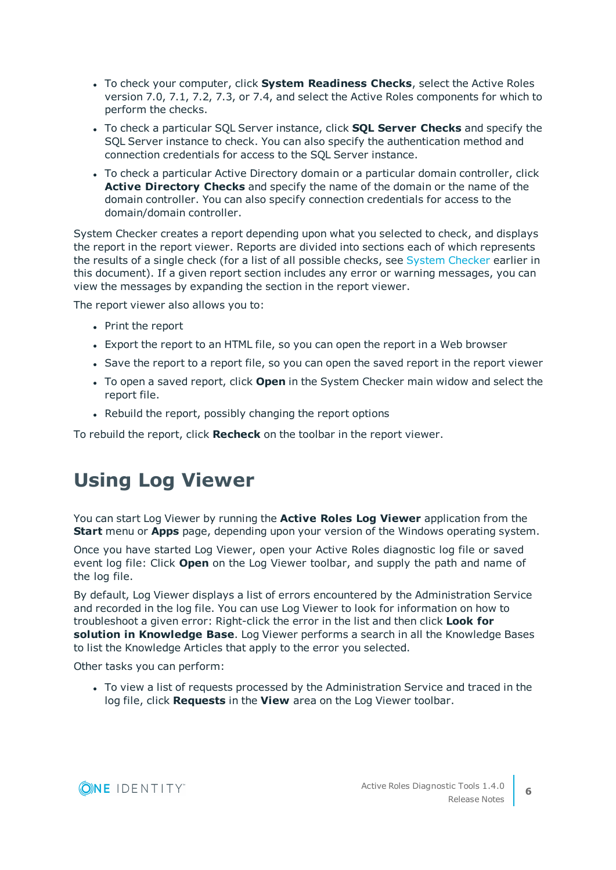- <sup>l</sup> To check your computer, click **System Readiness Checks**, select the Active Roles version 7.0, 7.1, 7.2, 7.3, or 7.4, and select the Active Roles components for which to perform the checks.
- <sup>l</sup> To check a particular SQL Server instance, click **SQL Server Checks** and specify the SQL Server instance to check. You can also specify the authentication method and connection credentials for access to the SQL Server instance.
- To check a particular Active Directory domain or a particular domain controller, click **Active Directory Checks** and specify the name of the domain or the name of the domain controller. You can also specify connection credentials for access to the domain/domain controller.

System Checker creates a report depending upon what you selected to check, and displays the report in the report viewer. Reports are divided into sections each of which represents the results of a single check (for a list of all possible checks, see System [Checker](#page-0-0) earlier in this document). If a given report section includes any error or warning messages, you can view the messages by expanding the section in the report viewer.

The report viewer also allows you to:

- Print the report
- Export the report to an HTML file, so you can open the report in a Web browser
- Save the report to a report file, so you can open the saved report in the report viewer
- **.** To open a saved report, click **Open** in the System Checker main widow and select the report file.
- Rebuild the report, possibly changing the report options

<span id="page-5-0"></span>To rebuild the report, click **Recheck** on the toolbar in the report viewer.

### **Using Log Viewer**

You can start Log Viewer by running the **Active Roles Log Viewer** application from the **Start** menu or **Apps** page, depending upon your version of the Windows operating system.

Once you have started Log Viewer, open your Active Roles diagnostic log file or saved event log file: Click **Open** on the Log Viewer toolbar, and supply the path and name of the log file.

By default, Log Viewer displays a list of errors encountered by the Administration Service and recorded in the log file. You can use Log Viewer to look for information on how to troubleshoot a given error: Right-click the error in the list and then click **Look for solution in Knowledge Base**. Log Viewer performs a search in all the Knowledge Bases to list the Knowledge Articles that apply to the error you selected.

Other tasks you can perform:

• To view a list of requests processed by the Administration Service and traced in the log file, click **Requests** in the **View** area on the Log Viewer toolbar.

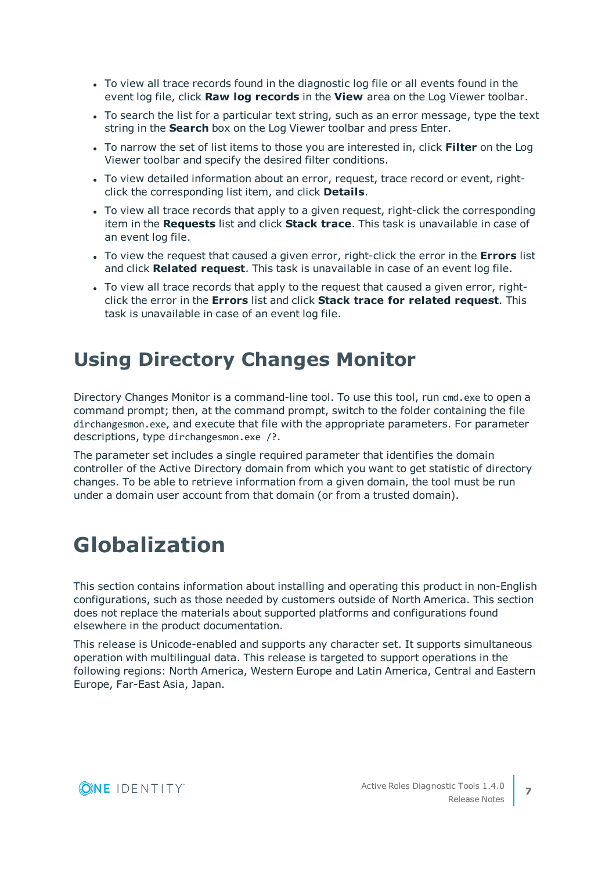- To view all trace records found in the diagnostic log file or all events found in the event log file, click **Raw log records** in the **View** area on the Log Viewer toolbar.
- To search the list for a particular text string, such as an error message, type the text string in the **Search** box on the Log Viewer toolbar and press Enter.
- <sup>l</sup> To narrow the set of list items to those you are interested in, click **Filter** on the Log Viewer toolbar and specify the desired filter conditions.
- To view detailed information about an error, request, trace record or event, rightclick the corresponding list item, and click **Details**.
- To view all trace records that apply to a given request, right-click the corresponding item in the **Requests** list and click **Stack trace**. This task is unavailable in case of an event log file.
- To view the request that caused a given error, right-click the error in the **Errors** list and click **Related request**. This task is unavailable in case of an event log file.
- To view all trace records that apply to the request that caused a given error, rightclick the error in the **Errors** list and click **Stack trace for related request**. This task is unavailable in case of an event log file.

### <span id="page-6-0"></span>**Using Directory Changes Monitor**

Directory Changes Monitor is a command-line tool. To use this tool, run cmd.exe to open a command prompt; then, at the command prompt, switch to the folder containing the file dirchangesmon.exe, and execute that file with the appropriate parameters. For parameter descriptions, type dirchangesmon.exe /?.

The parameter set includes a single required parameter that identifies the domain controller of the Active Directory domain from which you want to get statistic of directory changes. To be able to retrieve information from a given domain, the tool must be run under a domain user account from that domain (or from a trusted domain).

## **Globalization**

This section contains information about installing and operating this product in non-English configurations, such as those needed by customers outside of North America. This section does not replace the materials about supported platforms and configurations found elsewhere in the product documentation.

This release is Unicode-enabled and supports any character set. It supports simultaneous operation with multilingual data. This release is targeted to support operations in the following regions: North America, Western Europe and Latin America, Central and Eastern Europe, Far-East Asia, Japan.

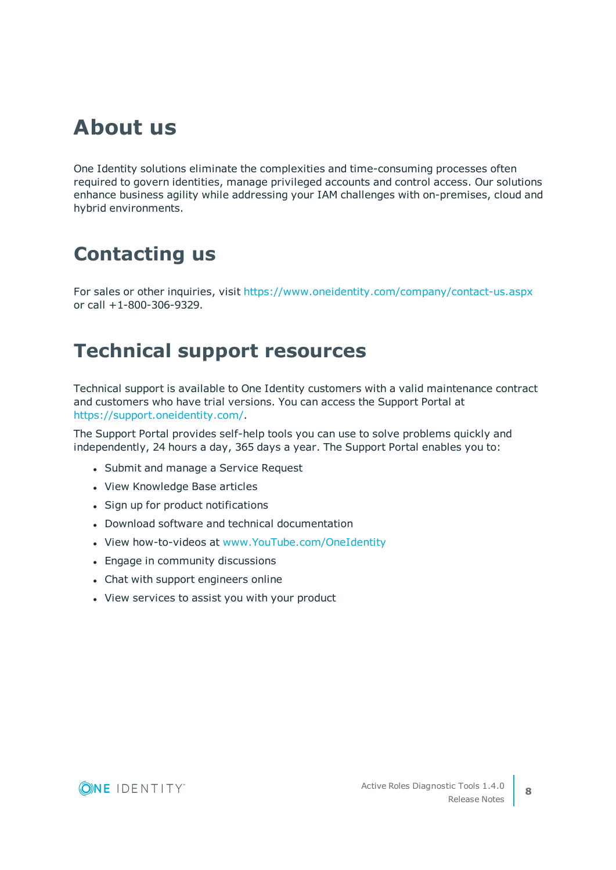## **About us**

One Identity solutions eliminate the complexities and time-consuming processes often required to govern identities, manage privileged accounts and control access. Our solutions enhance business agility while addressing your IAM challenges with on-premises, cloud and hybrid environments.

## **Contacting us**

For sales or other inquiries, visit <https://www.oneidentity.com/company/contact-us.aspx> or call +1-800-306-9329.

#### **Technical support resources**

Technical support is available to One Identity customers with a valid maintenance contract and customers who have trial versions. You can access the Support Portal at [https://support.oneidentity.com/.](https://support.oneidentity.com/)

The Support Portal provides self-help tools you can use to solve problems quickly and independently, 24 hours a day, 365 days a year. The Support Portal enables you to:

- Submit and manage a Service Request
- View Knowledge Base articles
- Sign up for product notifications
- Download software and technical documentation
- View how-to-videos at [www.YouTube.com/OneIdentity](http://www.youtube.com/OneIdentity)
- Engage in community discussions
- Chat with support engineers online
- View services to assist you with your product